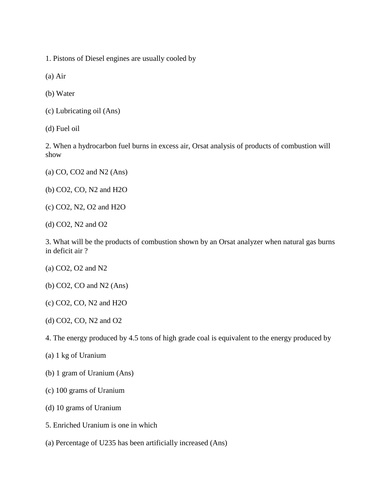1. Pistons of Diesel engines are usually cooled by

(a) Air

(b) Water

- (c) Lubricating oil (Ans)
- (d) Fuel oil

2. When a hydrocarbon fuel burns in excess air, Orsat analysis of products of combustion will show

- (a) CO, CO2 and N2 (Ans)
- (b) CO2, CO, N2 and H2O
- (c) CO2, N2, O2 and H2O
- (d) CO2, N2 and O2

3. What will be the products of combustion shown by an Orsat analyzer when natural gas burns in deficit air ?

- (a) CO2, O2 and N2
- (b) CO2, CO and N2 (Ans)
- (c) CO2, CO, N2 and H2O
- (d) CO2, CO, N2 and O2
- 4. The energy produced by 4.5 tons of high grade coal is equivalent to the energy produced by
- (a) 1 kg of Uranium
- (b) 1 gram of Uranium (Ans)
- (c) 100 grams of Uranium
- (d) 10 grams of Uranium
- 5. Enriched Uranium is one in which
- (a) Percentage of U235 has been artificially increased (Ans)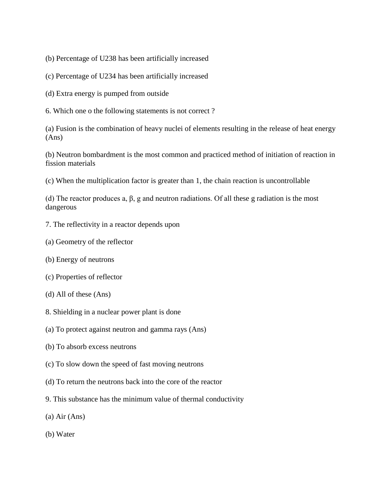- (b) Percentage of U238 has been artificially increased
- (c) Percentage of U234 has been artificially increased
- (d) Extra energy is pumped from outside
- 6. Which one o the following statements is not correct ?

(a) Fusion is the combination of heavy nuclei of elements resulting in the release of heat energy (Ans)

(b) Neutron bombardment is the most common and practiced method of initiation of reaction in fission materials

(c) When the multiplication factor is greater than 1, the chain reaction is uncontrollable

(d) The reactor produces a,  $\beta$ , g and neutron radiations. Of all these g radiation is the most dangerous

- 7. The reflectivity in a reactor depends upon
- (a) Geometry of the reflector
- (b) Energy of neutrons
- (c) Properties of reflector
- (d) All of these (Ans)
- 8. Shielding in a nuclear power plant is done
- (a) To protect against neutron and gamma rays (Ans)
- (b) To absorb excess neutrons
- (c) To slow down the speed of fast moving neutrons
- (d) To return the neutrons back into the core of the reactor
- 9. This substance has the minimum value of thermal conductivity
- (a) Air (Ans)
- (b) Water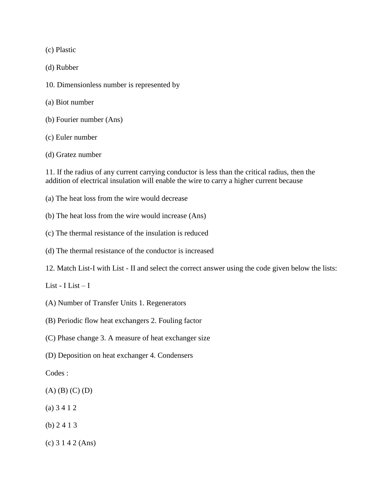(c) Plastic

(d) Rubber

- 10. Dimensionless number is represented by
- (a) Biot number
- (b) Fourier number (Ans)
- (c) Euler number

(d) Gratez number

11. If the radius of any current carrying conductor is less than the critical radius, then the addition of electrical insulation will enable the wire to carry a higher current because

- (a) The heat loss from the wire would decrease
- (b) The heat loss from the wire would increase (Ans)
- (c) The thermal resistance of the insulation is reduced
- (d) The thermal resistance of the conductor is increased
- 12. Match List-I with List II and select the correct answer using the code given below the lists:

List - I List  $-$  I

- (A) Number of Transfer Units 1. Regenerators
- (B) Periodic flow heat exchangers 2. Fouling factor
- (C) Phase change 3. A measure of heat exchanger size
- (D) Deposition on heat exchanger 4. Condensers

Codes :

- (A) (B) (C) (D)
- (a) 3 4 1 2
- (b) 2 4 1 3
- (c) 3 1 4 2 (Ans)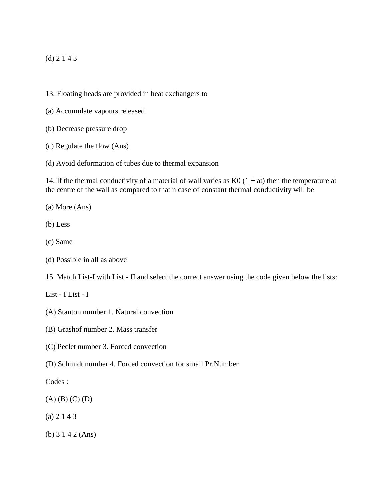## (d) 2 1 4 3

- 13. Floating heads are provided in heat exchangers to
- (a) Accumulate vapours released
- (b) Decrease pressure drop
- (c) Regulate the flow (Ans)
- (d) Avoid deformation of tubes due to thermal expansion

14. If the thermal conductivity of a material of wall varies as  $K0$  (1 + at) then the temperature at the centre of the wall as compared to that n case of constant thermal conductivity will be

- (a) More (Ans)
- (b) Less
- (c) Same
- (d) Possible in all as above
- 15. Match List-I with List II and select the correct answer using the code given below the lists:
- List I List I
- (A) Stanton number 1. Natural convection
- (B) Grashof number 2. Mass transfer
- (C) Peclet number 3. Forced convection
- (D) Schmidt number 4. Forced convection for small Pr.Number
- Codes :
- (A) (B) (C) (D)
- (a) 2 1 4 3
- (b) 3 1 4 2 (Ans)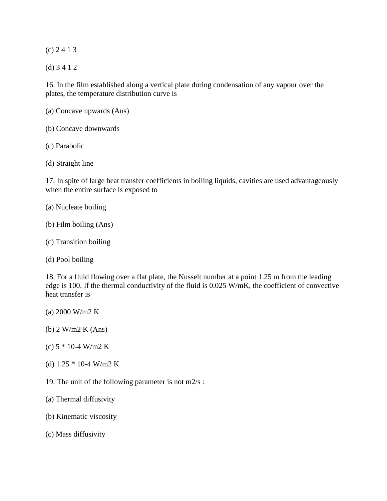(c) 2 4 1 3

(d) 3 4 1 2

16. In the film established along a vertical plate during condensation of any vapour over the plates, the temperature distribution curve is

- (a) Concave upwards (Ans)
- (b) Concave downwards
- (c) Parabolic
- (d) Straight line

17. In spite of large heat transfer coefficients in boiling liquids, cavities are used advantageously when the entire surface is exposed to

- (a) Nucleate boiling
- (b) Film boiling (Ans)
- (c) Transition boiling
- (d) Pool boiling

18. For a fluid flowing over a flat plate, the Nusselt number at a point 1.25 m from the leading edge is 100. If the thermal conductivity of the fluid is 0.025 W/mK, the coefficient of convective heat transfer is

- (a) 2000 W/m2 K
- (b) 2 W/m2 K (Ans)
- (c)  $5 * 10 4$  W/m2 K
- (d) 1.25 \* 10-4 W/m2 K
- 19. The unit of the following parameter is not m2/s :
- (a) Thermal diffusivity
- (b) Kinematic viscosity
- (c) Mass diffusivity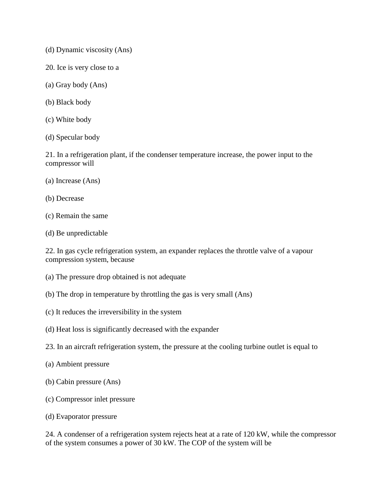- (d) Dynamic viscosity (Ans)
- 20. Ice is very close to a
- (a) Gray body (Ans)
- (b) Black body
- (c) White body
- (d) Specular body

21. In a refrigeration plant, if the condenser temperature increase, the power input to the compressor will

- (a) Increase (Ans)
- (b) Decrease
- (c) Remain the same
- (d) Be unpredictable

22. In gas cycle refrigeration system, an expander replaces the throttle valve of a vapour compression system, because

- (a) The pressure drop obtained is not adequate
- (b) The drop in temperature by throttling the gas is very small (Ans)
- (c) It reduces the irreversibility in the system
- (d) Heat loss is significantly decreased with the expander
- 23. In an aircraft refrigeration system, the pressure at the cooling turbine outlet is equal to
- (a) Ambient pressure
- (b) Cabin pressure (Ans)
- (c) Compressor inlet pressure
- (d) Evaporator pressure

24. A condenser of a refrigeration system rejects heat at a rate of 120 kW, while the compressor of the system consumes a power of 30 kW. The COP of the system will be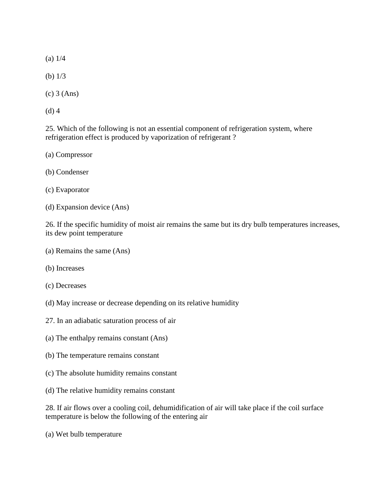(a) 1/4

(b) 1/3

(c) 3 (Ans)

(d) 4

25. Which of the following is not an essential component of refrigeration system, where refrigeration effect is produced by vaporization of refrigerant ?

(a) Compressor

(b) Condenser

(c) Evaporator

(d) Expansion device (Ans)

26. If the specific humidity of moist air remains the same but its dry bulb temperatures increases, its dew point temperature

- (a) Remains the same (Ans)
- (b) Increases
- (c) Decreases
- (d) May increase or decrease depending on its relative humidity
- 27. In an adiabatic saturation process of air
- (a) The enthalpy remains constant (Ans)
- (b) The temperature remains constant
- (c) The absolute humidity remains constant
- (d) The relative humidity remains constant

28. If air flows over a cooling coil, dehumidification of air will take place if the coil surface temperature is below the following of the entering air

(a) Wet bulb temperature